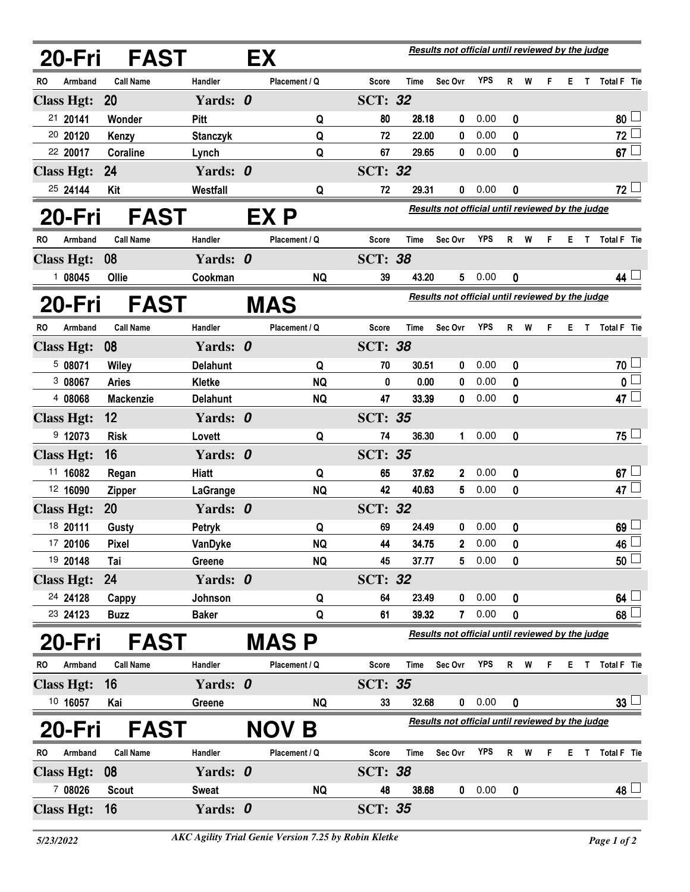|    | 20-Fri                                                                                       | <b>FAST</b>      |                 | EX |               | Results not official until reviewed by the judge |             |                                                  |                                                         |                  |     |    |    |    |                 |
|----|----------------------------------------------------------------------------------------------|------------------|-----------------|----|---------------|--------------------------------------------------|-------------|--------------------------------------------------|---------------------------------------------------------|------------------|-----|----|----|----|-----------------|
| RO | Armband                                                                                      | <b>Call Name</b> | Handler         |    | Placement / Q | Score                                            | Time        | Sec Ovr                                          | <b>YPS</b>                                              |                  | R W | F. | Е. |    | T Total F Tie   |
|    | <b>Class Hgt:</b>                                                                            | <b>20</b>        | Yards: 0        |    |               | <b>SCT: 32</b>                                   |             |                                                  |                                                         |                  |     |    |    |    |                 |
|    | 21 20141                                                                                     | Wonder           | Pitt            |    | Q             | 80                                               | 28.18       | 0                                                | 0.00                                                    | 0                |     |    |    |    | 80              |
|    | 20 20120                                                                                     | Kenzy            | <b>Stanczyk</b> |    | Q             | 72                                               | 22.00       | 0                                                | 0.00                                                    | 0                |     |    |    |    | $72\perp$       |
|    | 22 20017                                                                                     | Coraline         | Lynch           |    | Q             | 67                                               | 29.65       | 0                                                | 0.00                                                    | 0                |     |    |    |    | $67 \Box$       |
|    | <b>Class Hgt:</b>                                                                            | 24               | Yards: 0        |    |               | <b>SCT: 32</b>                                   |             |                                                  |                                                         |                  |     |    |    |    |                 |
|    | 25 24144                                                                                     | Kit              | Westfall        |    | Q             | 72                                               | 29.31       | 0                                                | 0.00                                                    | 0                |     |    |    |    | $72\perp$       |
|    | 20-Fri                                                                                       | <b>FAST</b>      |                 |    | EX P          |                                                  |             | Results not official until reviewed by the judge |                                                         |                  |     |    |    |    |                 |
| RO | Armband                                                                                      | <b>Call Name</b> | Handler         |    | Placement / Q | <b>Score</b>                                     | <b>Time</b> | Sec Ovr                                          | <b>YPS</b>                                              |                  | R W | F. |    |    | E T Total F Tie |
|    | <b>Class Hgt:</b>                                                                            | 08               | Yards: 0        |    |               | <b>SCT: 38</b>                                   |             |                                                  |                                                         |                  |     |    |    |    |                 |
|    | 108045                                                                                       | Ollie            | Cookman         |    | <b>NQ</b>     | 39                                               | 43.20       | 5                                                | 0.00                                                    | 0                |     |    |    |    | 44 $\lfloor$    |
|    | 20-Fri                                                                                       | <b>FAST</b>      |                 |    | <b>MAS</b>    |                                                  |             |                                                  | <b>Results not official until reviewed by the judge</b> |                  |     |    |    |    |                 |
| RO | Armband                                                                                      | <b>Call Name</b> | Handler         |    | Placement / Q | Score                                            | Time        | Sec Ovr                                          | <b>YPS</b>                                              | R                | W   | F. | E. | T. | Total F Tie     |
|    | <b>Class Hgt:</b>                                                                            | 08               | Yards: 0        |    |               | <b>SCT: 38</b>                                   |             |                                                  |                                                         |                  |     |    |    |    |                 |
|    | 5 08071                                                                                      | <b>Wiley</b>     | <b>Delahunt</b> |    | Q             | 70                                               | 30.51       | 0                                                | 0.00                                                    | 0                |     |    |    |    | $70\perp$       |
|    | 308067                                                                                       | <b>Aries</b>     | Kletke          |    | <b>NQ</b>     | 0                                                | 0.00        | 0                                                | 0.00                                                    | 0                |     |    |    |    | 0               |
|    | 4 08068                                                                                      | <b>Mackenzie</b> | <b>Delahunt</b> |    | <b>NQ</b>     | 47                                               | 33.39       | 0                                                | 0.00                                                    | 0                |     |    |    |    | 47 $\Box$       |
|    | <b>Class Hgt:</b>                                                                            | 12               | Yards: 0        |    |               | <b>SCT: 35</b>                                   |             |                                                  |                                                         |                  |     |    |    |    |                 |
|    | 9 12073                                                                                      | <b>Risk</b>      | Lovett          |    | Q             | 74                                               | 36.30       | $\mathbf 1$                                      | 0.00                                                    | 0                |     |    |    |    | $75 -$          |
|    | <b>Class Hgt:</b>                                                                            | 16               | Yards: 0        |    |               | <b>SCT: 35</b>                                   |             |                                                  |                                                         |                  |     |    |    |    |                 |
|    | 11 16082                                                                                     | Regan            | <b>Hiatt</b>    |    | Q             | 65                                               | 37.62       | $\mathbf{2}$                                     | 0.00                                                    | 0                |     |    |    |    | $67\perp$       |
|    | 12 16090                                                                                     | <b>Zipper</b>    | LaGrange        |    | <b>NQ</b>     | 42                                               | 40.63       | 5                                                | 0.00                                                    | 0                |     |    |    |    | 47 L            |
|    | <b>Class Hgt:</b>                                                                            | 20               | Yards: 0        |    |               | <b>SCT: 32</b>                                   |             |                                                  |                                                         |                  |     |    |    |    |                 |
|    | 18 20111                                                                                     | Gusty            | Petryk          |    | Q             | 69                                               | 24.49       | 0                                                | 0.00                                                    | 0                |     |    |    |    | 69 <sup>1</sup> |
|    | 17 20106                                                                                     | Pixel            | VanDyke         |    | <b>NQ</b>     | 44                                               | 34.75       | $\mathbf{2}$                                     | 0.00                                                    | 0                |     |    |    |    | 46              |
|    | 19 20148                                                                                     | Tai              | Greene          |    | <b>NQ</b>     | 45                                               | 37.77       | 5                                                | 0.00                                                    | 0                |     |    |    |    | $50 \cup$       |
|    | <b>Class Hgt:</b>                                                                            | 24               | Yards: 0        |    |               | <b>SCT: 32</b>                                   |             |                                                  |                                                         |                  |     |    |    |    |                 |
|    | 24 24128                                                                                     | Cappy            | Johnson         |    | Q             | 64                                               | 23.49       | 0                                                | 0.00                                                    | 0                |     |    |    |    | $64\perp$       |
|    | 23 24123                                                                                     | <b>Buzz</b>      | <b>Baker</b>    |    | Q             | 61                                               | 39.32       | 7                                                | 0.00                                                    | 0                |     |    |    |    | $68\perp$       |
|    | 20-Fri                                                                                       | <b>FAST</b>      |                 |    | <b>MASP</b>   |                                                  |             | Results not official until reviewed by the judge |                                                         |                  |     |    |    |    |                 |
| RO | Armband                                                                                      | <b>Call Name</b> | Handler         |    | Placement / Q | Score                                            | Time        | Sec Ovr                                          | <b>YPS</b>                                              |                  | R W | F. |    |    | E T Total F Tie |
|    | <b>Class Hgt:</b>                                                                            | - 16             | Yards: 0        |    |               | <b>SCT: 35</b>                                   |             |                                                  |                                                         |                  |     |    |    |    |                 |
|    | 10 16057                                                                                     | Kai              | Greene          |    | <b>NQ</b>     | 33                                               | 32.68       |                                                  | 0.00                                                    | $\boldsymbol{0}$ |     |    |    |    | $33 -$          |
|    | Results not official until reviewed by the judge<br>20-Fri<br><b>FAST</b><br><b>NOV</b><br>Β |                  |                 |    |               |                                                  |             |                                                  |                                                         |                  |     |    |    |    |                 |
| RO | Armband                                                                                      | <b>Call Name</b> | Handler         |    | Placement / Q | Score                                            | Time        | Sec Ovr                                          | <b>YPS</b>                                              |                  | R W | F. | E. | T. | Total F Tie     |
|    | <b>Class Hgt:</b>                                                                            | 08               | Yards: 0        |    |               | <b>SCT: 38</b>                                   |             |                                                  |                                                         |                  |     |    |    |    |                 |
|    | 7 08026                                                                                      | <b>Scout</b>     | <b>Sweat</b>    |    | <b>NQ</b>     | 48                                               | 38.68       | 0                                                | 0.00                                                    | 0                |     |    |    |    | $48 \Box$       |
|    | <b>Class Hgt:</b>                                                                            | 16               | Yards: 0        |    |               | <b>SCT: 35</b>                                   |             |                                                  |                                                         |                  |     |    |    |    |                 |